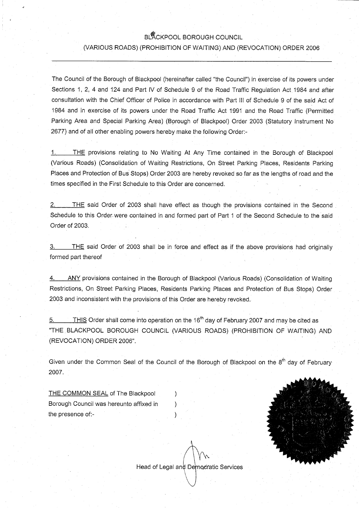# BLACKPOOL BOROUGH COUNCIL

### (VARIOUS ROADS) (PROHIBITION OF WAITING) AND (REVOCATION) ORDER 2006

The Council of the Borough of Blackpool (hereinafter called "the Council") in exercise of its powers under Sections 1, 2, 4 and 124 and Part IV of Schedule 9 of the Road Traffic Regulation Act 1984 and after consultation with the Chief Officer of Police in accordance with Part III of Schedule 9 of the said Act of 1984 and in exercise of its powers under the Road Traffic Act 1991 and.the Road Traffic (Permitted Parking Area and Special Parking Area) (Borough of Blackpool) Order 2003 (Statutory Instrument No 2677) and of all other enabling powers hereby make the following Order:-

1. THE provisions relating to No Waiting At Any Time contained in the Borough of Blackpool (Various Roads) (Consolidation of Waiting Restrictions, On Street Parking Places, Residents Parking Places and Protection of Bus Stops) Order 2003 are hereby revoked so far as the lengths of road and the times specified in the First Schedule to this Order are concerned.

2. THE said Order of 2003 shall have effect as though the provisions contained in the Second Schedule to this Order. were contained in and formed part of Part 1 of the Second Schedule to the said Order of 2003.

3. THE said Order of 2003 shall be in force and effect as if the above provisions had originally formed part thereof

4. ANY provisions contained in the Borough of Blackpool (Various Roads) (Consolidation of Waiting Restrictions, On Street Parking Places, Residents Parking Places and Protection of Bus Stops) Order 2003 and inconsistent with the provisions of this Order are hereby revoked.

 $5.$  THIS Order shall come into operation on the 16<sup>th</sup> day of February 2007 and may be cited as "THE , BLACKPOOL BOROUGH COUNCIL (VARIOUS ROADS) (PROHIBITION OF WAITING) AND (REVOCATION) ORDER 2006".

Given under the Common Seal of the Council of the Borough of Blackpool on the 8<sup>th</sup> day of February 2007.

 $\mathcal{E}$ 

THE COMMON SEAL of The Blackpool Borough Council was hereunto affixed in  $\qquad)$ the presence of:-



Head of Legal and Democratic Services